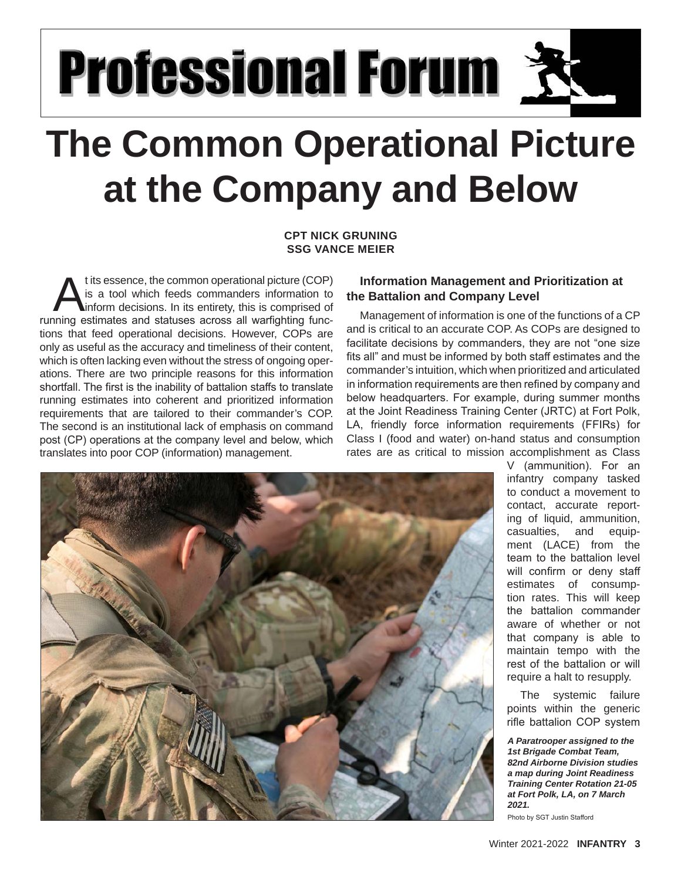# **Professional Forum 첫**

## **The Common Operational Picture at the Company and Below**

#### **CPT NICK GRUNING SSG VANCE MEIER**

t its essence, the common operational picture (COP) is a tool which feeds commanders information to inform decisions. In its entirety, this is comprised of running estimates and statuses across all warfighting functions that feed operational decisions. However, COPs are only as useful as the accuracy and timeliness of their content, which is often lacking even without the stress of ongoing operations. There are two principle reasons for this information shortfall. The first is the inability of battalion staffs to translate running estimates into coherent and prioritized information requirements that are tailored to their commander's COP. The second is an institutional lack of emphasis on command post (CP) operations at the company level and below, which translates into poor COP (information) management.

### **Information Management and Prioritization at the Battalion and Company Level**

Management of information is one of the functions of a CP and is critical to an accurate COP. As COPs are designed to facilitate decisions by commanders, they are not "one size fits all" and must be informed by both staff estimates and the commander's intuition, which when prioritized and articulated in information requirements are then refined by company and below headquarters. For example, during summer months at the Joint Readiness Training Center (JRTC) at Fort Polk, LA, friendly force information requirements (FFIRs) for Class I (food and water) on-hand status and consumption rates are as critical to mission accomplishment as Class



V (ammunition). For an infantry company tasked to conduct a movement to contact, accurate reporting of liquid, ammunition, casualties, and equipment (LACE) from the team to the battalion level will confirm or deny staff estimates of consumption rates. This will keep the battalion commander aware of whether or not that company is able to maintain tempo with the rest of the battalion or will require a halt to resupply.

The systemic failure points within the generic rifle battalion COP system

*A Paratrooper assigned to the 1st Brigade Combat Team, 82nd Airborne Division studies a map during Joint Readiness Training Center Rotation 21-05 at Fort Polk, LA, on 7 March 2021.* 

Photo by SGT Justin Stafford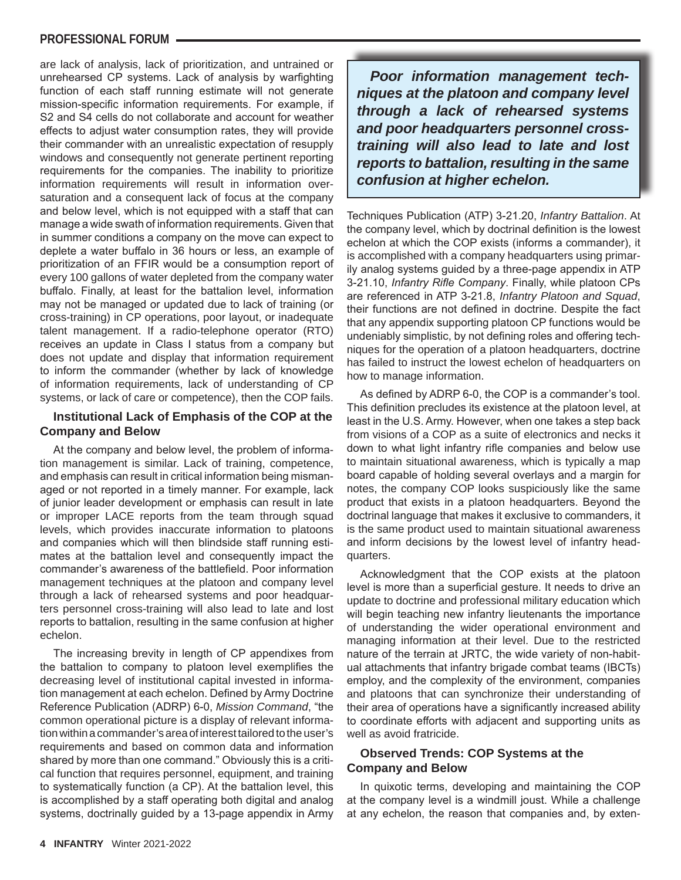#### **PROFESSIONAL FORUM**

are lack of analysis, lack of prioritization, and untrained or unrehearsed CP systems. Lack of analysis by warfighting function of each staff running estimate will not generate mission-specific information requirements. For example, if S2 and S4 cells do not collaborate and account for weather effects to adjust water consumption rates, they will provide their commander with an unrealistic expectation of resupply windows and consequently not generate pertinent reporting requirements for the companies. The inability to prioritize information requirements will result in information oversaturation and a consequent lack of focus at the company and below level, which is not equipped with a staff that can manage a wide swath of information requirements. Given that in summer conditions a company on the move can expect to deplete a water buffalo in 36 hours or less, an example of prioritization of an FFIR would be a consumption report of every 100 gallons of water depleted from the company water buffalo. Finally, at least for the battalion level, information may not be managed or updated due to lack of training (or cross-training) in CP operations, poor layout, or inadequate talent management. If a radio-telephone operator (RTO) receives an update in Class I status from a company but does not update and display that information requirement to inform the commander (whether by lack of knowledge of information requirements, lack of understanding of CP systems, or lack of care or competence), then the COP fails.

#### **Institutional Lack of Emphasis of the COP at the Company and Below**

At the company and below level, the problem of information management is similar. Lack of training, competence, and emphasis can result in critical information being mismanaged or not reported in a timely manner. For example, lack of junior leader development or emphasis can result in late or improper LACE reports from the team through squad levels, which provides inaccurate information to platoons and companies which will then blindside staff running estimates at the battalion level and consequently impact the commander's awareness of the battlefield. Poor information management techniques at the platoon and company level through a lack of rehearsed systems and poor headquarters personnel cross-training will also lead to late and lost reports to battalion, resulting in the same confusion at higher echelon.

The increasing brevity in length of CP appendixes from the battalion to company to platoon level exemplifies the decreasing level of institutional capital invested in information management at each echelon. Defined by Army Doctrine Reference Publication (ADRP) 6-0, *Mission Command*, "the common operational picture is a display of relevant information within a commander's area of interest tailored to the user's requirements and based on common data and information shared by more than one command." Obviously this is a critical function that requires personnel, equipment, and training to systematically function (a CP). At the battalion level, this is accomplished by a staff operating both digital and analog systems, doctrinally guided by a 13-page appendix in Army

*Poor information management techniques at the platoon and company level through a lack of rehearsed systems and poor headquarters personnel crosstraining will also lead to late and lost reports to battalion, resulting in the same confusion at higher echelon.*

Techniques Publication (ATP) 3-21.20, *Infantry Battalion*. At the company level, which by doctrinal definition is the lowest echelon at which the COP exists (informs a commander), it is accomplished with a company headquarters using primarily analog systems guided by a three-page appendix in ATP 3-21.10, *Infantry Rifle Company*. Finally, while platoon CPs are referenced in ATP 3-21.8, *Infantry Platoon and Squad*, their functions are not defined in doctrine. Despite the fact that any appendix supporting platoon CP functions would be undeniably simplistic, by not defining roles and offering techniques for the operation of a platoon headquarters, doctrine has failed to instruct the lowest echelon of headquarters on how to manage information.

As defined by ADRP 6-0, the COP is a commander's tool. This definition precludes its existence at the platoon level, at least in the U.S. Army. However, when one takes a step back from visions of a COP as a suite of electronics and necks it down to what light infantry rifle companies and below use to maintain situational awareness, which is typically a map board capable of holding several overlays and a margin for notes, the company COP looks suspiciously like the same product that exists in a platoon headquarters. Beyond the doctrinal language that makes it exclusive to commanders, it is the same product used to maintain situational awareness and inform decisions by the lowest level of infantry headquarters.

Acknowledgment that the COP exists at the platoon level is more than a superficial gesture. It needs to drive an update to doctrine and professional military education which will begin teaching new infantry lieutenants the importance of understanding the wider operational environment and managing information at their level. Due to the restricted nature of the terrain at JRTC, the wide variety of non-habitual attachments that infantry brigade combat teams (IBCTs) employ, and the complexity of the environment, companies and platoons that can synchronize their understanding of their area of operations have a significantly increased ability to coordinate efforts with adjacent and supporting units as well as avoid fratricide.

#### **Observed Trends: COP Systems at the Company and Below**

In quixotic terms, developing and maintaining the COP at the company level is a windmill joust. While a challenge at any echelon, the reason that companies and, by exten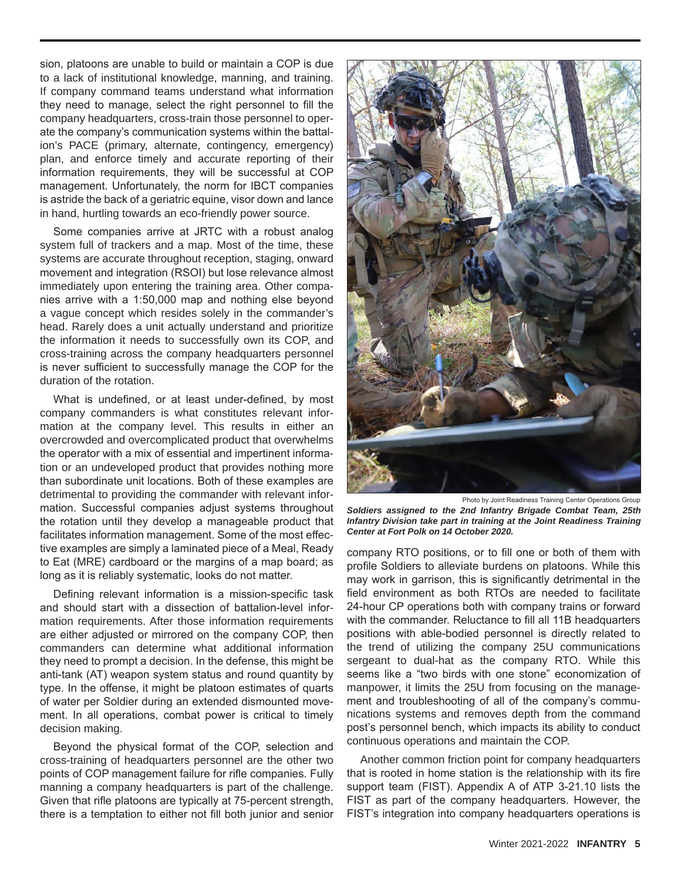sion, platoons are unable to build or maintain a COP is due to a lack of institutional knowledge, manning, and training. If company command teams understand what information they need to manage, select the right personnel to fill the company headquarters, cross-train those personnel to operate the company's communication systems within the battalion's PACE (primary, alternate, contingency, emergency) plan, and enforce timely and accurate reporting of their information requirements, they will be successful at COP management. Unfortunately, the norm for IBCT companies is astride the back of a geriatric equine, visor down and lance in hand, hurtling towards an eco-friendly power source.

Some companies arrive at JRTC with a robust analog system full of trackers and a map. Most of the time, these systems are accurate throughout reception, staging, onward movement and integration (RSOI) but lose relevance almost immediately upon entering the training area. Other companies arrive with a 1:50,000 map and nothing else beyond a vague concept which resides solely in the commander's head. Rarely does a unit actually understand and prioritize the information it needs to successfully own its COP, and cross-training across the company headquarters personnel is never sufficient to successfully manage the COP for the duration of the rotation.

What is undefined, or at least under-defined, by most company commanders is what constitutes relevant information at the company level. This results in either an overcrowded and overcomplicated product that overwhelms the operator with a mix of essential and impertinent information or an undeveloped product that provides nothing more than subordinate unit locations. Both of these examples are detrimental to providing the commander with relevant information. Successful companies adjust systems throughout the rotation until they develop a manageable product that facilitates information management. Some of the most effective examples are simply a laminated piece of a Meal, Ready to Eat (MRE) cardboard or the margins of a map board; as long as it is reliably systematic, looks do not matter.

Defining relevant information is a mission-specific task and should start with a dissection of battalion-level information requirements. After those information requirements are either adjusted or mirrored on the company COP, then commanders can determine what additional information they need to prompt a decision. In the defense, this might be anti-tank (AT) weapon system status and round quantity by type. In the offense, it might be platoon estimates of quarts of water per Soldier during an extended dismounted movement. In all operations, combat power is critical to timely decision making.

Beyond the physical format of the COP, selection and cross-training of headquarters personnel are the other two points of COP management failure for rifle companies. Fully manning a company headquarters is part of the challenge. Given that rifle platoons are typically at 75-percent strength, there is a temptation to either not fill both junior and senior



Photo by Joint Readiness Training Center Operations Group

*Soldiers assigned to the 2nd Infantry Brigade Combat Team, 25th Infantry Division take part in training at the Joint Readiness Training Center at Fort Polk on 14 October 2020.*

company RTO positions, or to fill one or both of them with profile Soldiers to alleviate burdens on platoons. While this may work in garrison, this is significantly detrimental in the field environment as both RTOs are needed to facilitate 24-hour CP operations both with company trains or forward with the commander. Reluctance to fill all 11B headquarters positions with able-bodied personnel is directly related to the trend of utilizing the company 25U communications sergeant to dual-hat as the company RTO. While this seems like a "two birds with one stone" economization of manpower, it limits the 25U from focusing on the management and troubleshooting of all of the company's communications systems and removes depth from the command post's personnel bench, which impacts its ability to conduct continuous operations and maintain the COP.

Another common friction point for company headquarters that is rooted in home station is the relationship with its fire support team (FIST). Appendix A of ATP 3-21.10 lists the FIST as part of the company headquarters. However, the FIST's integration into company headquarters operations is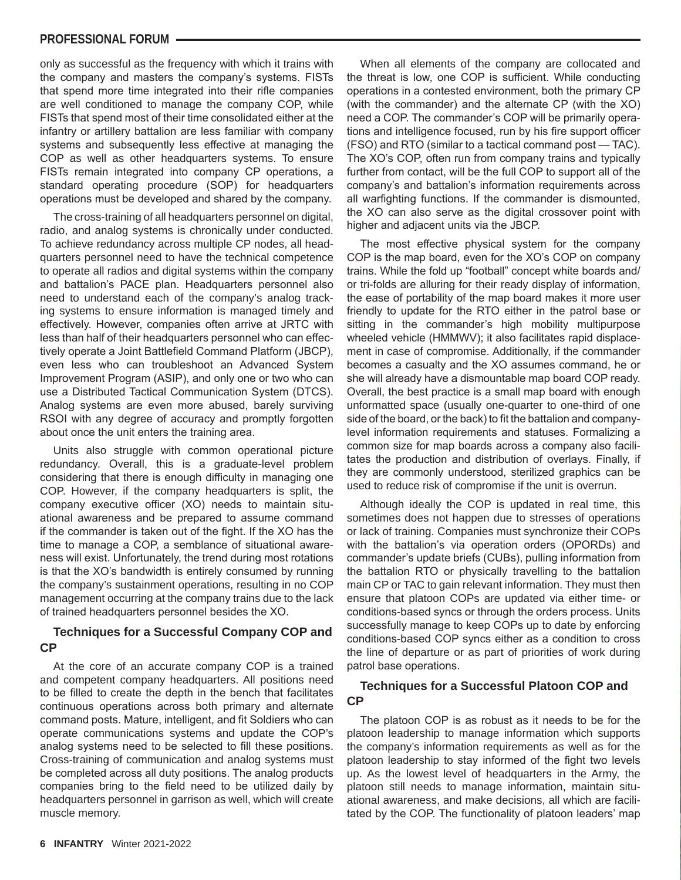#### **PROFESSIONAL FORUM**

only as successful as the frequency with which it trains with the company and masters the company's systems. FISTs that spend more time integrated into their rifle companies are well conditioned to manage the company COP, while FISTs that spend most of their time consolidated either at the infantry or artillery battalion are less familiar with company systems and subsequently less effective at managing the COP as well as other headquarters systems. To ensure FISTs remain integrated into company CP operations, a standard operating procedure (SOP) for headquarters operations must be developed and shared by the company.

The cross-training of all headquarters personnel on digital, radio, and analog systems is chronically under conducted. To achieve redundancy across multiple CP nodes, all headquarters personnel need to have the technical competence to operate all radios and digital systems within the company and battalion's PACE plan. Headquarters personnel also need to understand each of the company's analog tracking systems to ensure information is managed timely and effectively. However, companies often arrive at JRTC with less than half of their headquarters personnel who can effectively operate a Joint Battlefield Command Platform (JBCP), even less who can troubleshoot an Advanced System Improvement Program (ASIP), and only one or two who can use a Distributed Tactical Communication System (DTCS). Analog systems are even more abused, barely surviving RSOI with any degree of accuracy and promptly forgotten about once the unit enters the training area.

Units also struggle with common operational picture redundancy. Overall, this is a graduate-level problem considering that there is enough difficulty in managing one COP. However, if the company headquarters is split, the company executive officer (XO) needs to maintain situational awareness and be prepared to assume command if the commander is taken out of the fight. If the XO has the time to manage a COP, a semblance of situational awareness will exist. Unfortunately, the trend during most rotations is that the XO's bandwidth is entirely consumed by running the company's sustainment operations, resulting in no COP management occurring at the company trains due to the lack of trained headquarters personnel besides the XO.

#### **Techniques for a Successful Company COP and CP**

At the core of an accurate company COP is a trained and competent company headquarters. All positions need to be filled to create the depth in the bench that facilitates continuous operations across both primary and alternate command posts. Mature, intelligent, and fit Soldiers who can operate communications systems and update the COP's analog systems need to be selected to fill these positions. Cross-training of communication and analog systems must be completed across all duty positions. The analog products companies bring to the field need to be utilized daily by headquarters personnel in garrison as well, which will create muscle memory.

When all elements of the company are collocated and the threat is low, one COP is sufficient. While conducting operations in a contested environment, both the primary CP (with the commander) and the alternate CP (with the XO) need a COP. The commander's COP will be primarily operations and intelligence focused, run by his fire support officer (FSO) and RTO (similar to a tactical command post — TAC). The XO's COP, often run from company trains and typically further from contact, will be the full COP to support all of the company's and battalion's information requirements across all warfighting functions. If the commander is dismounted, the XO can also serve as the digital crossover point with higher and adjacent units via the JBCP.

The most effective physical system for the company COP is the map board, even for the XO's COP on company trains. While the fold up "football" concept white boards and/ or tri-folds are alluring for their ready display of information, the ease of portability of the map board makes it more user friendly to update for the RTO either in the patrol base or sitting in the commander's high mobility multipurpose wheeled vehicle (HMMWV); it also facilitates rapid displacement in case of compromise. Additionally, if the commander becomes a casualty and the XO assumes command, he or she will already have a dismountable map board COP ready. Overall, the best practice is a small map board with enough unformatted space (usually one-quarter to one-third of one side of the board, or the back) to fit the battalion and companylevel information requirements and statuses. Formalizing a common size for map boards across a company also facilitates the production and distribution of overlays. Finally, if they are commonly understood, sterilized graphics can be used to reduce risk of compromise if the unit is overrun.

Although ideally the COP is updated in real time, this sometimes does not happen due to stresses of operations or lack of training. Companies must synchronize their COPs with the battalion's via operation orders (OPORDs) and commander's update briefs (CUBs), pulling information from the battalion RTO or physically travelling to the battalion main CP or TAC to gain relevant information. They must then ensure that platoon COPs are updated via either time- or conditions-based syncs or through the orders process. Units successfully manage to keep COPs up to date by enforcing conditions-based COP syncs either as a condition to cross the line of departure or as part of priorities of work during patrol base operations.

#### **Techniques for a Successful Platoon COP and CP**

The platoon COP is as robust as it needs to be for the platoon leadership to manage information which supports the company's information requirements as well as for the platoon leadership to stay informed of the fight two levels up. As the lowest level of headquarters in the Army, the platoon still needs to manage information, maintain situational awareness, and make decisions, all which are facilitated by the COP. The functionality of platoon leaders' map